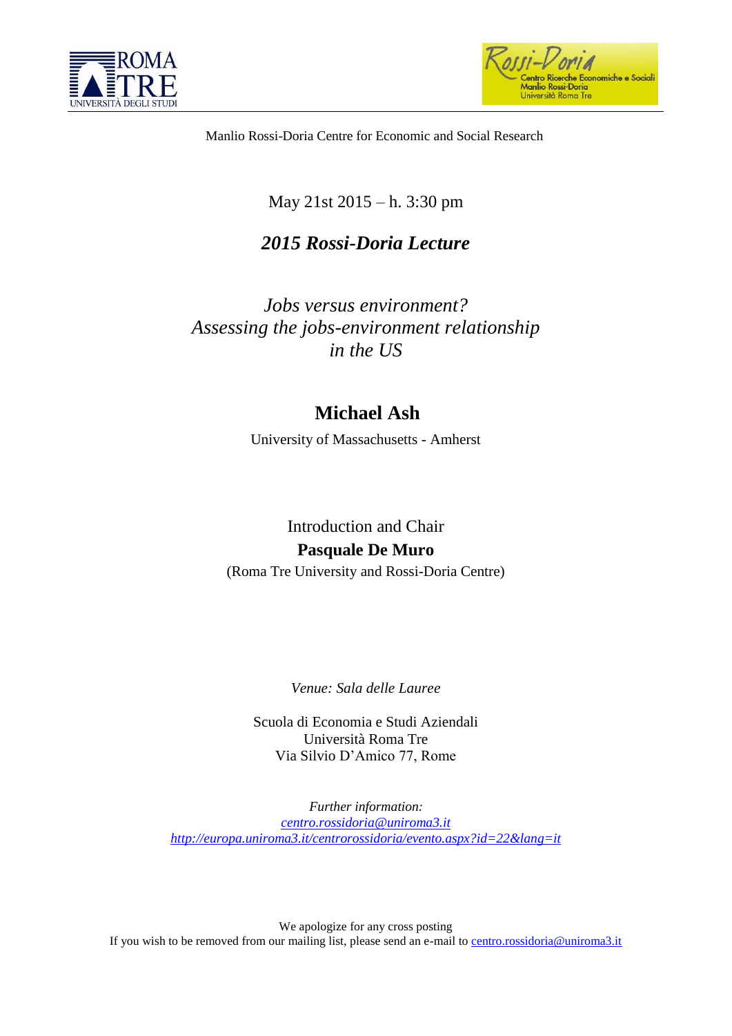



Manlio Rossi-Doria Centre for Economic and Social Research

## May 21st 2015 – h. 3:30 pm

## *2015 Rossi-Doria Lecture*

*Jobs versus environment? Assessing the jobs-environment relationship in the US*

## **Michael Ash**

University of Massachusetts - Amherst

## Introduction and Chair **Pasquale De Muro**

(Roma Tre University and Rossi-Doria Centre)

*Venue: Sala delle Lauree*

Scuola di Economia e Studi Aziendali Università Roma Tre Via Silvio D'Amico 77, Rome

*Further information: [centro.rossidoria@uniroma3.it](mailto:centro.rossidoria@uniroma3.it) <http://europa.uniroma3.it/centrorossidoria/evento.aspx?id=22&lang=it>*

We apologize for any cross posting If you wish to be removed from our mailing list, please send an e-mail to [centro.rossidoria@uniroma3.it](mailto:centro.rossidoria@uniroma3.it)